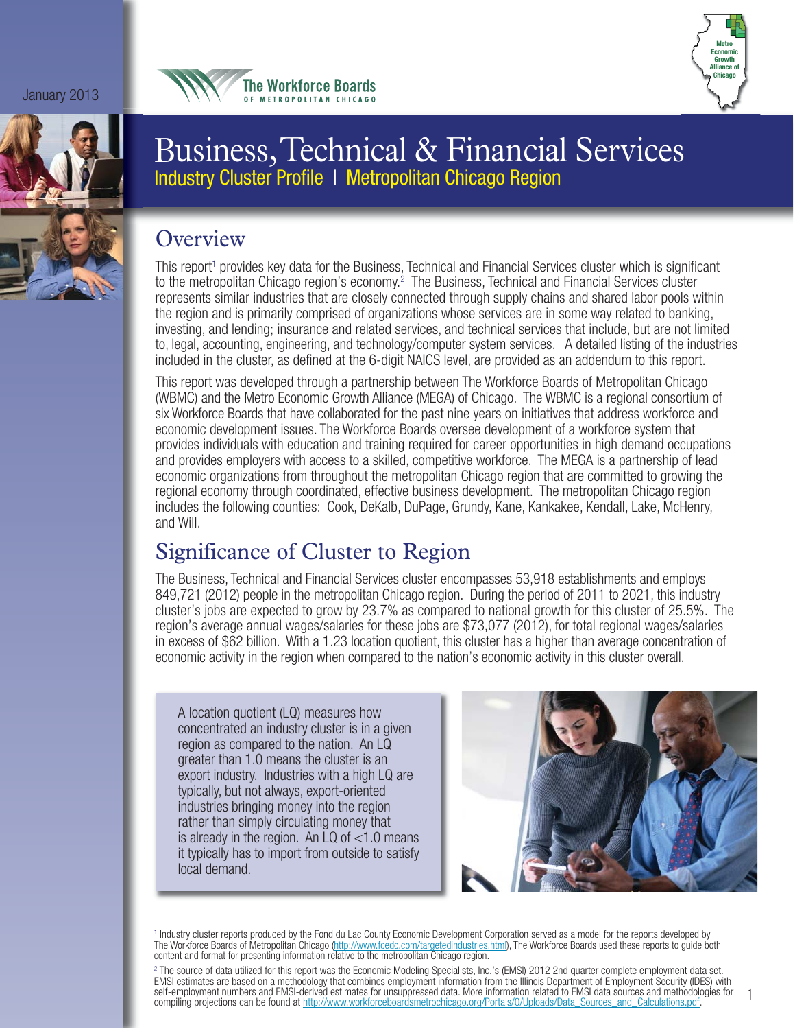January 2013







# Business, Technical & Financial Services Industry Cluster Profile I Metropolitan Chicago Region

## **Overview**

This report<sup>1</sup> provides key data for the Business, Technical and Financial Services cluster which is significant to the metropolitan Chicago region's economy.<sup>2</sup> The Business, Technical and Financial Services cluster represents similar industries that are closely connected through supply chains and shared labor pools within the region and is primarily comprised of organizations whose services are in some way related to banking, investing, and lending; insurance and related services, and technical services that include, but are not limited to, legal, accounting, engineering, and technology/computer system services. A detailed listing of the industries included in the cluster, as defined at the 6-digit NAICS level, are provided as an addendum to this report.

This report was developed through a partnership between The Workforce Boards of Metropolitan Chicago (WBMC) and the Metro Economic Growth Alliance (MEGA) of Chicago. The WBMC is a regional consortium of six Workforce Boards that have collaborated for the past nine years on initiatives that address workforce and economic development issues. The Workforce Boards oversee development of a workforce system that provides individuals with education and training required for career opportunities in high demand occupations and provides employers with access to a skilled, competitive workforce. The MEGA is a partnership of lead economic organizations from throughout the metropolitan Chicago region that are committed to growing the regional economy through coordinated, effective business development. The metropolitan Chicago region includes the following counties: Cook, DeKalb, DuPage, Grundy, Kane, Kankakee, Kendall, Lake, McHenry, and Will.

# Significance of Cluster to Region

The Business, Technical and Financial Services cluster encompasses 53,918 establishments and employs 849,721 (2012) people in the metropolitan Chicago region. During the period of 2011 to 2021, this industry cluster's jobs are expected to grow by 23.7% as compared to national growth for this cluster of 25.5%. The region's average annual wages/salaries for these jobs are \$73,077 (2012), for total regional wages/salaries in excess of \$62 billion. With a 1.23 location quotient, this cluster has a higher than average concentration of economic activity in the region when compared to the nation's economic activity in this cluster overall.

A location quotient (LQ) measures how concentrated an industry cluster is in a given region as compared to the nation. An LQ greater than 1.0 means the cluster is an export industry. Industries with a high LQ are typically, but not always, export-oriented industries bringing money into the region rather than simply circulating money that is already in the region. An LQ of <1.0 means it typically has to import from outside to satisfy local demand.



<sup>1</sup> Industry cluster reports produced by the Fond du Lac County Economic Development Corporation served as a model for the reports developed by The Workforce Boards of Metropolitan Chicago (http://www.fcedc.com/targetedindustries.html), The Workforce Boards used these reports to guide both content and format for presenting information relative to the metropolitan Chicago region.

<sup>2</sup> The source of data utilized for this report was the Economic Modeling Specialists, Inc.'s (EMSI) 2012 2nd quarter complete employment data set. EMSI estimates are based on a methodology that combines employment information from the Illinois Department of Employment Security (IDES) with self-employment numbers and EMSI-derived estimates for unsuppressed data. More information related to EMSI data sources and methodologies for compiling projections can be found at http://www.workforceboardsmetrochicago.org/Portals/0/Uploads/Data\_Sources\_and\_Calculations.pdf.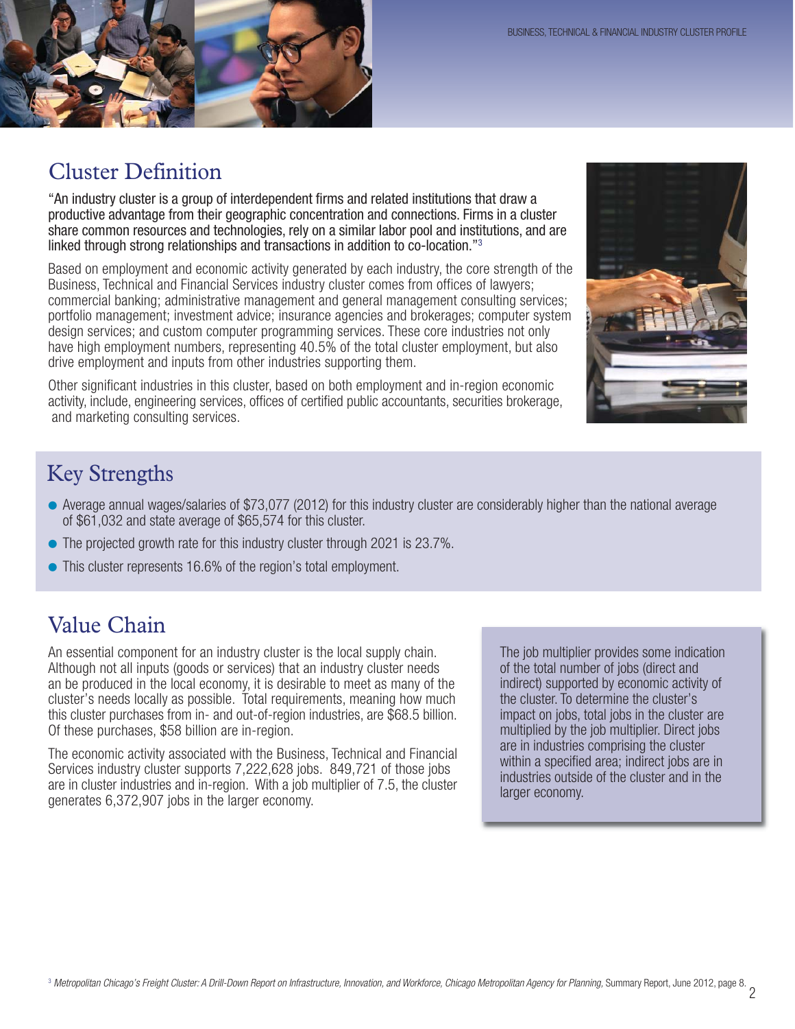

## Cluster Definition

"An industry cluster is a group of interdependent firms and related institutions that draw a productive advantage from their geographic concentration and connections. Firms in a cluster share common resources and technologies, rely on a similar labor pool and institutions, and are linked through strong relationships and transactions in addition to co-location."3

Based on employment and economic activity generated by each industry, the core strength of the Business, Technical and Financial Services industry cluster comes from offices of lawyers; commercial banking; administrative management and general management consulting services; portfolio management; investment advice; insurance agencies and brokerages; computer system design services; and custom computer programming services. These core industries not only have high employment numbers, representing 40.5% of the total cluster employment, but also drive employment and inputs from other industries supporting them.

Other significant industries in this cluster, based on both employment and in-region economic activity, include, engineering services, offices of certified public accountants, securities brokerage, and marketing consulting services.



## Key Strengths

- Average annual wages/salaries of \$73,077 (2012) for this industry cluster are considerably higher than the national average of \$61,032 and state average of \$65,574 for this cluster.
- The projected growth rate for this industry cluster through 2021 is 23.7%.
- This cluster represents 16.6% of the region's total employment.

## Value Chain

An essential component for an industry cluster is the local supply chain. Although not all inputs (goods or services) that an industry cluster needs an be produced in the local economy, it is desirable to meet as many of the cluster's needs locally as possible. Total requirements, meaning how much this cluster purchases from in- and out-of-region industries, are \$68.5 billion. Of these purchases, \$58 billion are in-region.

The economic activity associated with the Business, Technical and Financial Services industry cluster supports 7,222,628 jobs. 849,721 of those jobs are in cluster industries and in-region. With a job multiplier of 7.5, the cluster generates 6,372,907 jobs in the larger economy.

The job multiplier provides some indication of the total number of jobs (direct and indirect) supported by economic activity of the cluster. To determine the cluster's impact on jobs, total jobs in the cluster are multiplied by the job multiplier. Direct jobs are in industries comprising the cluster within a specified area; indirect jobs are in industries outside of the cluster and in the larger economy.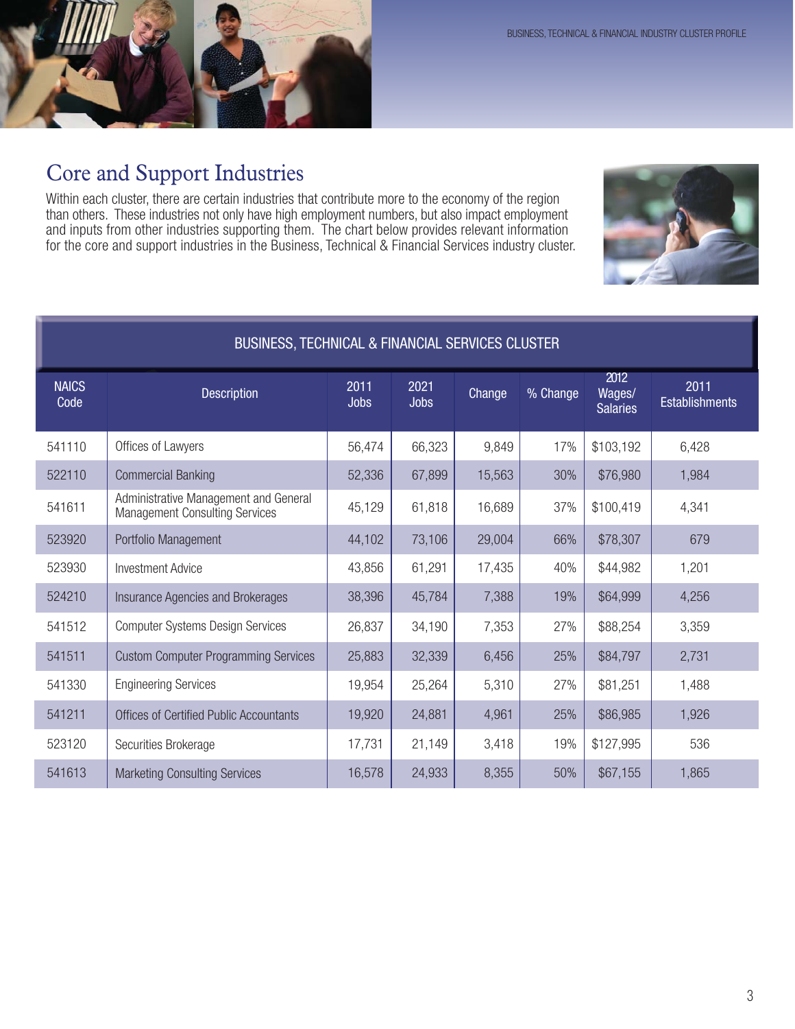

## Core and Support Industries

Within each cluster, there are certain industries that contribute more to the economy of the region than others. These industries not only have high employment numbers, but also impact employment and inputs from other industries supporting them. The chart below provides relevant information for the core and support industries in the Business, Technical & Financial Services industry cluster.



| BUSINESS, TECHNICAL & FINANCIAL SERVICES CLUSTER |                                                                                |                     |                     |               |          |                                   |                               |
|--------------------------------------------------|--------------------------------------------------------------------------------|---------------------|---------------------|---------------|----------|-----------------------------------|-------------------------------|
| <b>NAICS</b><br>Code                             | <b>Description</b>                                                             | 2011<br><b>Jobs</b> | 2021<br><b>Jobs</b> | <b>Change</b> | % Change | 2012<br>Wages/<br><b>Salaries</b> | 2011<br><b>Establishments</b> |
| 541110                                           | Offices of Lawyers                                                             | 56,474              | 66,323              | 9,849         | 17%      | \$103,192                         | 6,428                         |
| 522110                                           | <b>Commercial Banking</b>                                                      | 52,336              | 67,899              | 15,563        | 30%      | \$76,980                          | 1,984                         |
| 541611                                           | Administrative Management and General<br><b>Management Consulting Services</b> | 45,129              | 61,818              | 16,689        | 37%      | \$100,419                         | 4,341                         |
| 523920                                           | Portfolio Management                                                           | 44,102              | 73,106              | 29,004        | 66%      | \$78,307                          | 679                           |
| 523930                                           | <b>Investment Advice</b>                                                       | 43,856              | 61,291              | 17,435        | 40%      | \$44,982                          | 1,201                         |
| 524210                                           | Insurance Agencies and Brokerages                                              | 38,396              | 45,784              | 7,388         | 19%      | \$64,999                          | 4,256                         |
| 541512                                           | <b>Computer Systems Design Services</b>                                        | 26,837              | 34,190              | 7,353         | 27%      | \$88,254                          | 3,359                         |
| 541511                                           | <b>Custom Computer Programming Services</b>                                    | 25,883              | 32,339              | 6,456         | 25%      | \$84,797                          | 2,731                         |
| 541330                                           | <b>Engineering Services</b>                                                    | 19,954              | 25,264              | 5,310         | 27%      | \$81,251                          | 1,488                         |
| 541211                                           | <b>Offices of Certified Public Accountants</b>                                 | 19,920              | 24,881              | 4,961         | 25%      | \$86,985                          | 1,926                         |
| 523120                                           | Securities Brokerage                                                           | 17,731              | 21,149              | 3,418         | 19%      | \$127,995                         | 536                           |
| 541613                                           | <b>Marketing Consulting Services</b>                                           | 16,578              | 24,933              | 8,355         | 50%      | \$67,155                          | 1,865                         |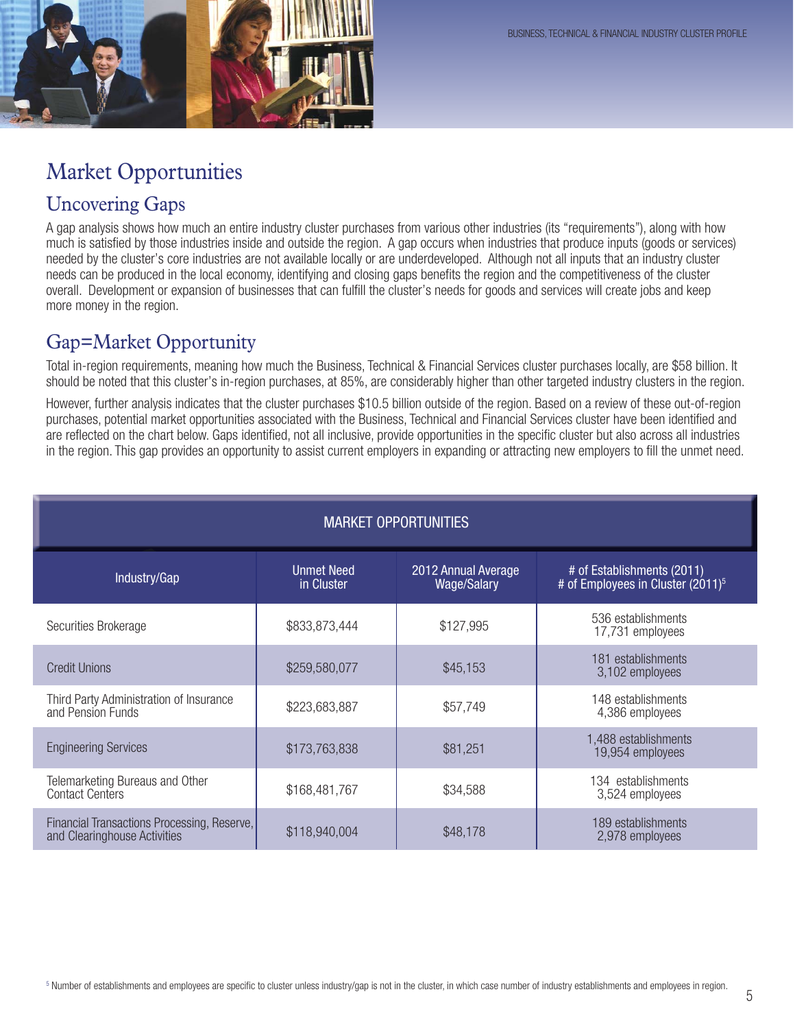

# Market Opportunities

## Uncovering Gaps

A gap analysis shows how much an entire industry cluster purchases from various other industries (its "requirements"), along with how much is satisfied by those industries inside and outside the region. A gap occurs when industries that produce inputs (goods or services) needed by the cluster's core industries are not available locally or are underdeveloped. Although not all inputs that an industry cluster needs can be produced in the local economy, identifying and closing gaps benefits the region and the competitiveness of the cluster overall. Development or expansion of businesses that can fulfill the cluster's needs for goods and services will create jobs and keep more money in the region.

### Gap=Market Opportunity

Total in-region requirements, meaning how much the Business, Technical & Financial Services cluster purchases locally, are \$58 billion. It should be noted that this cluster's in-region purchases, at 85%, are considerably higher than other targeted industry clusters in the region.

However, further analysis indicates that the cluster purchases \$10.5 billion outside of the region. Based on a review of these out-of-region purchases, potential market opportunities associated with the Business, Technical and Financial Services cluster have been identified and are reflected on the chart below. Gaps identified, not all inclusive, provide opportunities in the specific cluster but also across all industries in the region. This gap provides an opportunity to assist current employers in expanding or attracting new employers to fill the unmet need.

| <b>MARKET OPPORTUNITIES</b>                                                 |                                 |                                           |                                                                             |  |
|-----------------------------------------------------------------------------|---------------------------------|-------------------------------------------|-----------------------------------------------------------------------------|--|
| Industry/Gap                                                                | <b>Unmet Need</b><br>in Cluster | 2012 Annual Average<br><b>Wage/Salary</b> | # of Establishments (2011)<br># of Employees in Cluster (2011) <sup>5</sup> |  |
| Securities Brokerage                                                        | \$833,873,444                   | \$127,995                                 | 536 establishments<br>17,731 employees                                      |  |
| <b>Credit Unions</b>                                                        | \$259,580,077                   | \$45,153                                  | 181 establishments<br>3,102 employees                                       |  |
| Third Party Administration of Insurance<br>and Pension Funds                | \$223,683,887                   | \$57,749                                  | 148 establishments<br>4,386 employees                                       |  |
| <b>Engineering Services</b>                                                 | \$173,763,838                   | \$81,251                                  | 1,488 establishments<br>19,954 employees                                    |  |
| Telemarketing Bureaus and Other<br><b>Contact Centers</b>                   | \$168,481,767                   | \$34,588                                  | 134 establishments<br>3,524 employees                                       |  |
| Financial Transactions Processing, Reserve,<br>and Clearinghouse Activities | \$118,940,004                   | \$48,178                                  | 189 establishments<br>2,978 employees                                       |  |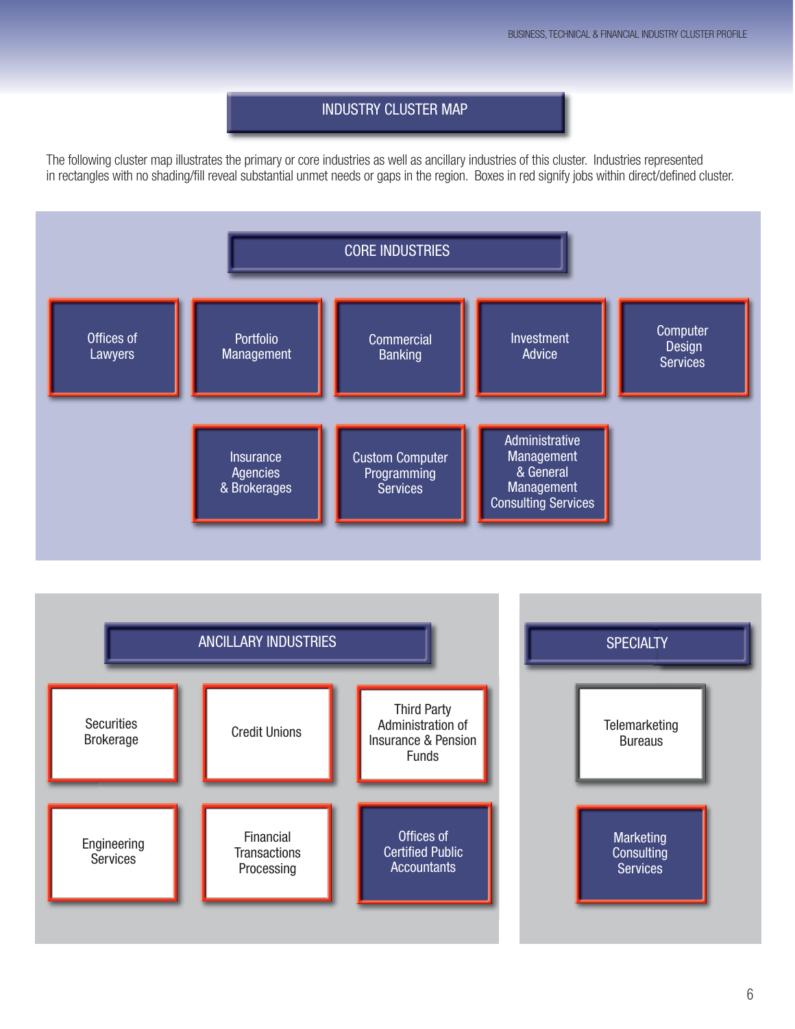#### INDUSTRY CLUSTER MAP

The following cluster map illustrates the primary or core industries as well as ancillary industries of this cluster. Industries represented in rectangles with no shading/fill reveal substantial unmet needs or gaps in the region. Boxes in red signify jobs within direct/defined cluster.



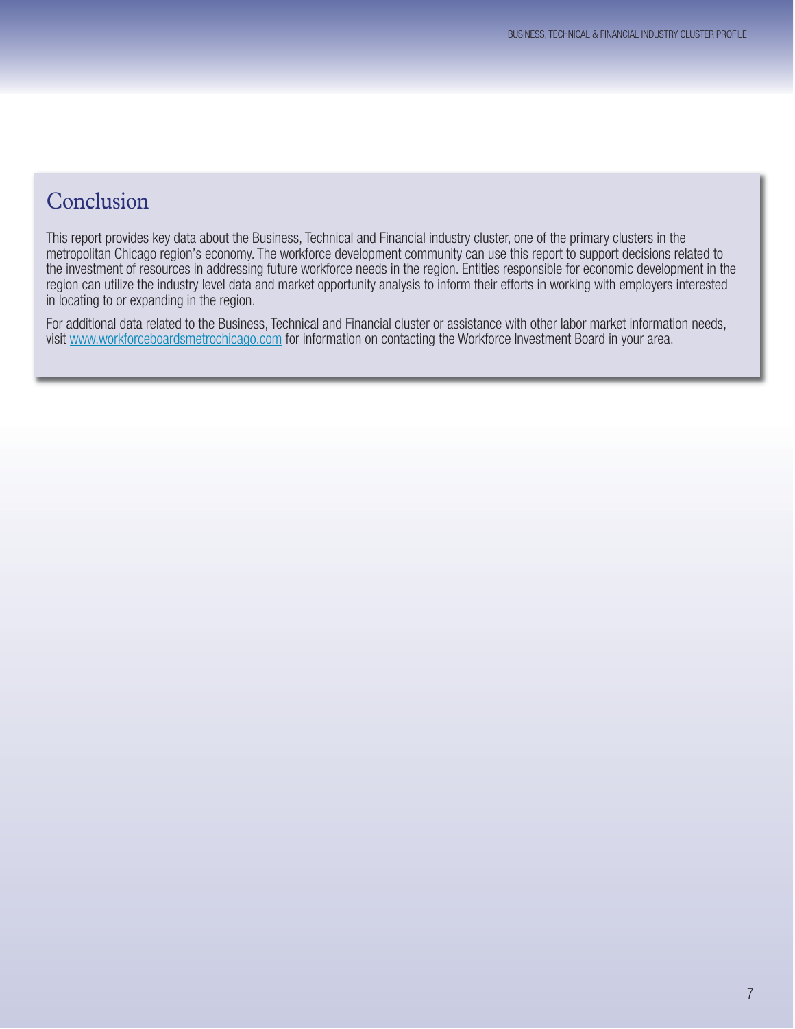## Conclusion

This report provides key data about the Business, Technical and Financial industry cluster, one of the primary clusters in the metropolitan Chicago region's economy. The workforce development community can use this report to support decisions related to the investment of resources in addressing future workforce needs in the region. Entities responsible for economic development in the region can utilize the industry level data and market opportunity analysis to inform their efforts in working with employers interested in locating to or expanding in the region.

For additional data related to the Business, Technical and Financial cluster or assistance with other labor market information needs, visit www.workforceboardsmetrochicago.com for information on contacting the Workforce Investment Board in your area.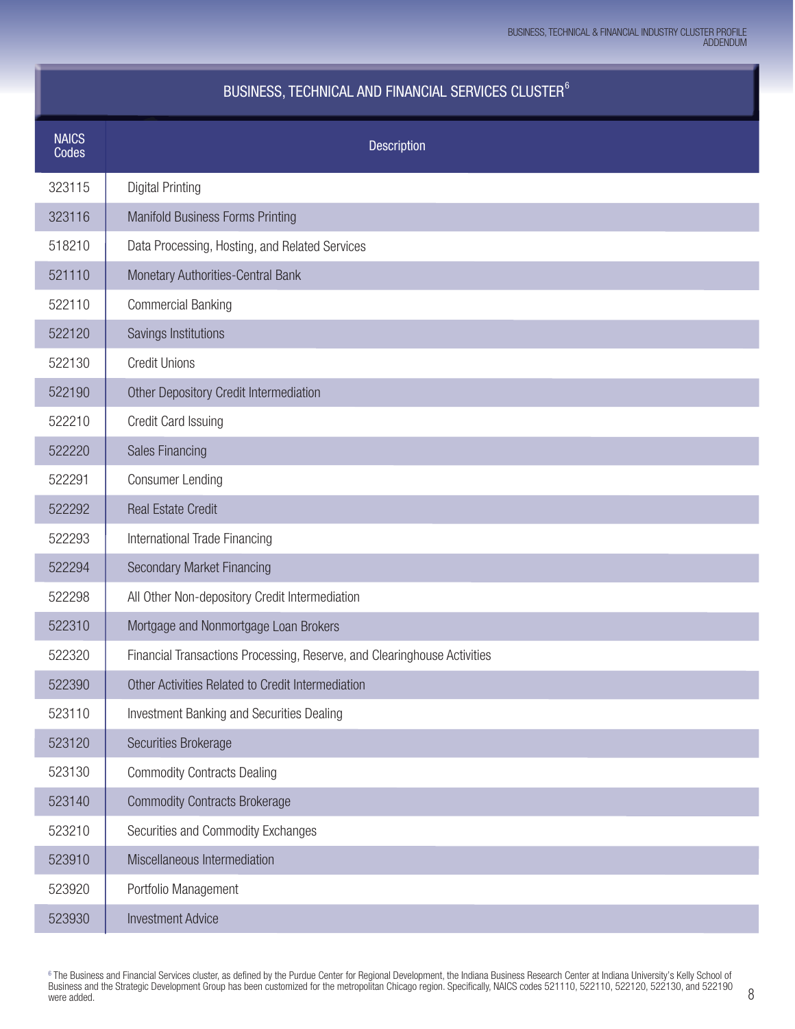### BUSINESS, TECHNICAL AND FINANCIAL SERVICES CLUSTER<sup>6</sup>

| <b>NAICS</b> |                                                                          |
|--------------|--------------------------------------------------------------------------|
| Codes        | <b>Description</b>                                                       |
| 323115       | <b>Digital Printing</b>                                                  |
| 323116       | <b>Manifold Business Forms Printing</b>                                  |
| 518210       | Data Processing, Hosting, and Related Services                           |
| 521110       | Monetary Authorities-Central Bank                                        |
| 522110       | <b>Commercial Banking</b>                                                |
| 522120       | Savings Institutions                                                     |
| 522130       | <b>Credit Unions</b>                                                     |
| 522190       | Other Depository Credit Intermediation                                   |
| 522210       | Credit Card Issuing                                                      |
| 522220       | <b>Sales Financing</b>                                                   |
| 522291       | <b>Consumer Lending</b>                                                  |
| 522292       | <b>Real Estate Credit</b>                                                |
| 522293       | International Trade Financing                                            |
| 522294       | <b>Secondary Market Financing</b>                                        |
| 522298       | All Other Non-depository Credit Intermediation                           |
| 522310       | Mortgage and Nonmortgage Loan Brokers                                    |
| 522320       | Financial Transactions Processing, Reserve, and Clearinghouse Activities |
| 522390       | Other Activities Related to Credit Intermediation                        |
| 523110       | Investment Banking and Securities Dealing                                |
| 523120       | Securities Brokerage                                                     |
| 523130       | <b>Commodity Contracts Dealing</b>                                       |
| 523140       | <b>Commodity Contracts Brokerage</b>                                     |
| 523210       | Securities and Commodity Exchanges                                       |
| 523910       | Miscellaneous Intermediation                                             |
| 523920       | Portfolio Management                                                     |
| 523930       | <b>Investment Advice</b>                                                 |

6 The Business and Financial Services cluster, as defined by the Purdue Center for Regional Development, the Indiana Business Research Center at Indiana University's Kelly School of Business and the Strategic Development Group has been customized for the metropolitan Chicago region. Specifically, NAICS codes 521110, 522110, 522120, 522130, and 522190 were added.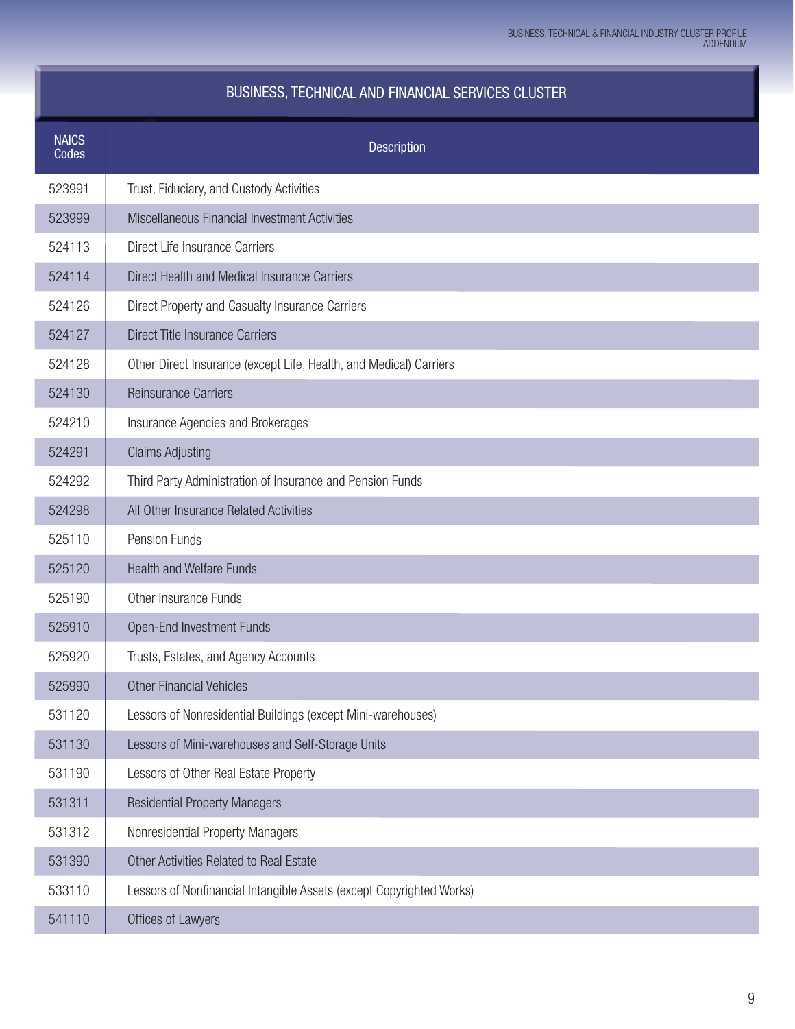| BUSINESS, TECHNICAL AND FINANCIAL SERVICES CLUSTER |  |  |
|----------------------------------------------------|--|--|
|----------------------------------------------------|--|--|

| <b>NAICS</b><br>Codes | <b>Description</b>                                                   |
|-----------------------|----------------------------------------------------------------------|
| 523991                | Trust, Fiduciary, and Custody Activities                             |
| 523999                | Miscellaneous Financial Investment Activities                        |
| 524113                | Direct Life Insurance Carriers                                       |
| 524114                | Direct Health and Medical Insurance Carriers                         |
| 524126                | Direct Property and Casualty Insurance Carriers                      |
| 524127                | <b>Direct Title Insurance Carriers</b>                               |
| 524128                | Other Direct Insurance (except Life, Health, and Medical) Carriers   |
| 524130                | <b>Reinsurance Carriers</b>                                          |
| 524210                | Insurance Agencies and Brokerages                                    |
| 524291                | <b>Claims Adjusting</b>                                              |
| 524292                | Third Party Administration of Insurance and Pension Funds            |
| 524298                | All Other Insurance Related Activities                               |
| 525110                | Pension Funds                                                        |
| 525120                | <b>Health and Welfare Funds</b>                                      |
| 525190                | Other Insurance Funds                                                |
| 525910                | <b>Open-End Investment Funds</b>                                     |
| 525920                | Trusts, Estates, and Agency Accounts                                 |
| 525990                | <b>Other Financial Vehicles</b>                                      |
| 531120                | Lessors of Nonresidential Buildings (except Mini-warehouses)         |
| 531130                | Lessors of Mini-warehouses and Self-Storage Units                    |
| 531190                | Lessors of Other Real Estate Property                                |
| 531311                | <b>Residential Property Managers</b>                                 |
| 531312                | Nonresidential Property Managers                                     |
| 531390                | Other Activities Related to Real Estate                              |
| 533110                | Lessors of Nonfinancial Intangible Assets (except Copyrighted Works) |
| 541110                | Offices of Lawyers                                                   |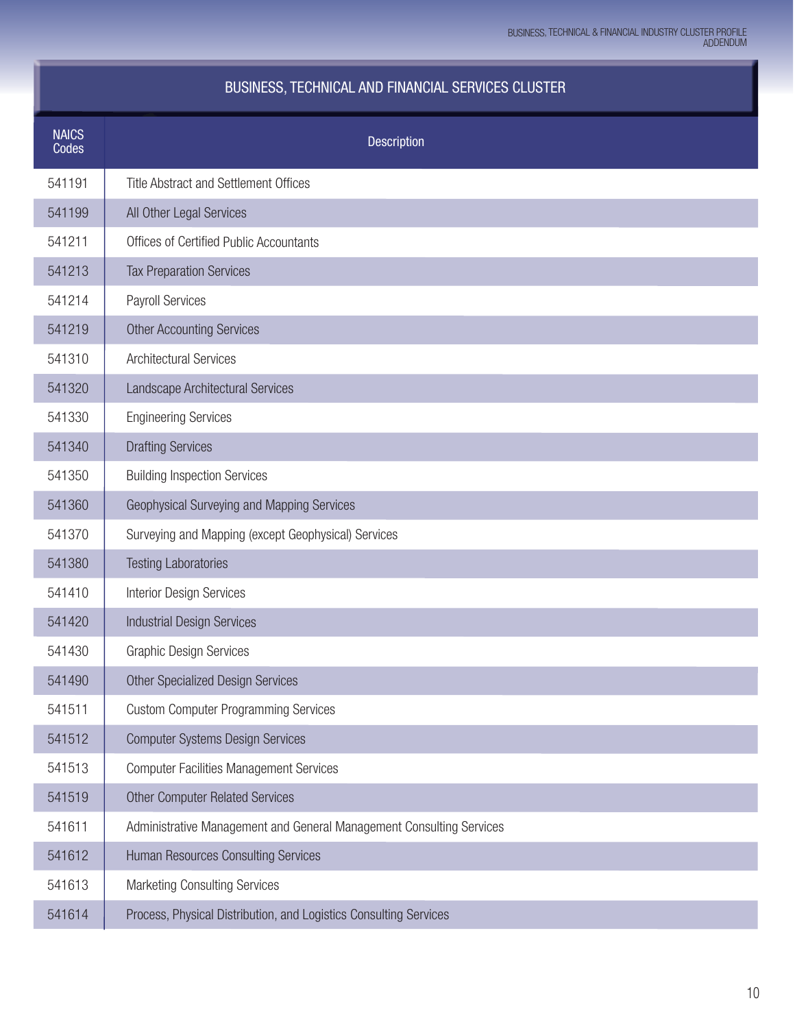### BUSINESS, TECHNICAL AND FINANCIAL SERVICES CLUSTER

| <b>NAICS</b><br>Codes | <b>Description</b>                                                   |
|-----------------------|----------------------------------------------------------------------|
| 541191                | <b>Title Abstract and Settlement Offices</b>                         |
| 541199                | All Other Legal Services                                             |
| 541211                | Offices of Certified Public Accountants                              |
| 541213                | <b>Tax Preparation Services</b>                                      |
| 541214                | Payroll Services                                                     |
| 541219                | <b>Other Accounting Services</b>                                     |
| 541310                | <b>Architectural Services</b>                                        |
| 541320                | Landscape Architectural Services                                     |
| 541330                | <b>Engineering Services</b>                                          |
| 541340                | <b>Drafting Services</b>                                             |
| 541350                | <b>Building Inspection Services</b>                                  |
| 541360                | Geophysical Surveying and Mapping Services                           |
| 541370                | Surveying and Mapping (except Geophysical) Services                  |
| 541380                | <b>Testing Laboratories</b>                                          |
| 541410                | <b>Interior Design Services</b>                                      |
| 541420                | <b>Industrial Design Services</b>                                    |
| 541430                | <b>Graphic Design Services</b>                                       |
| 541490                | <b>Other Specialized Design Services</b>                             |
| 541511                | <b>Custom Computer Programming Services</b>                          |
| 541512                | <b>Computer Systems Design Services</b>                              |
| 541513                | <b>Computer Facilities Management Services</b>                       |
| 541519                | <b>Other Computer Related Services</b>                               |
| 541611                | Administrative Management and General Management Consulting Services |
| 541612                | Human Resources Consulting Services                                  |
| 541613                | <b>Marketing Consulting Services</b>                                 |
| 541614                | Process, Physical Distribution, and Logistics Consulting Services    |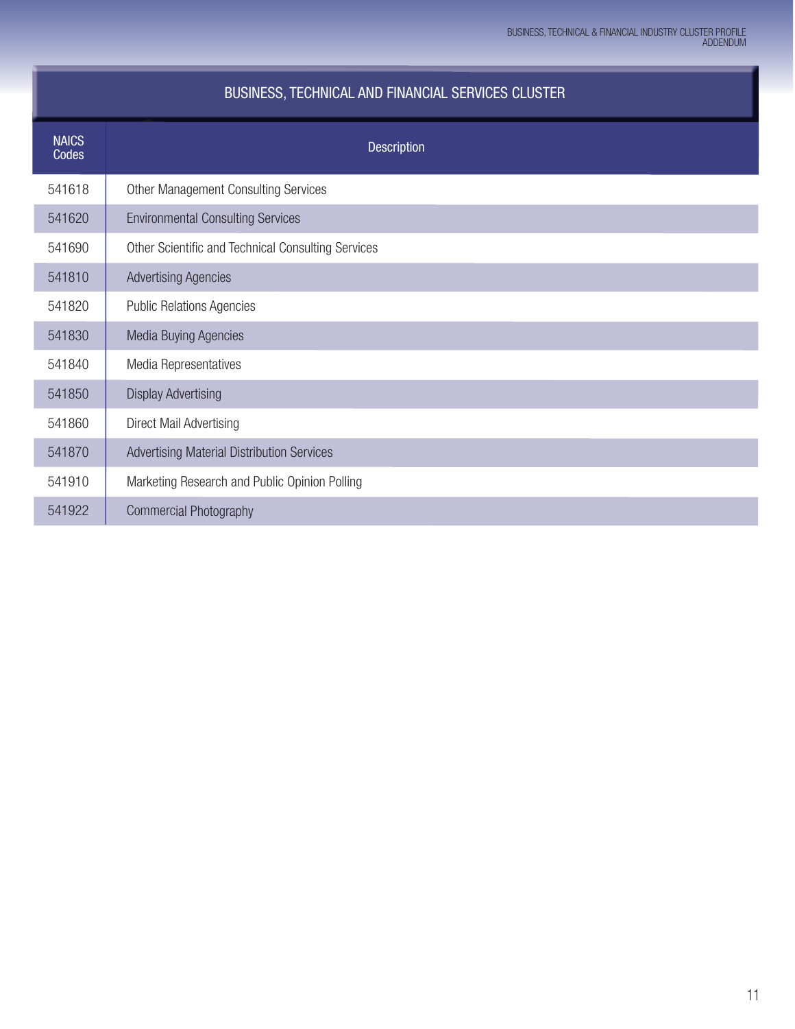### BUSINESS, TECHNICAL AND FINANCIAL SERVICES CLUSTER

| <b>NAICS</b><br><b>Codes</b> | <b>Description</b>                                 |
|------------------------------|----------------------------------------------------|
| 541618                       | Other Management Consulting Services               |
| 541620                       | <b>Environmental Consulting Services</b>           |
| 541690                       | Other Scientific and Technical Consulting Services |
| 541810                       | <b>Advertising Agencies</b>                        |
| 541820                       | <b>Public Relations Agencies</b>                   |
| 541830                       | <b>Media Buying Agencies</b>                       |
| 541840                       | Media Representatives                              |
| 541850                       | <b>Display Advertising</b>                         |
| 541860                       | Direct Mail Advertising                            |
| 541870                       | Advertising Material Distribution Services         |
| 541910                       | Marketing Research and Public Opinion Polling      |
| 541922                       | <b>Commercial Photography</b>                      |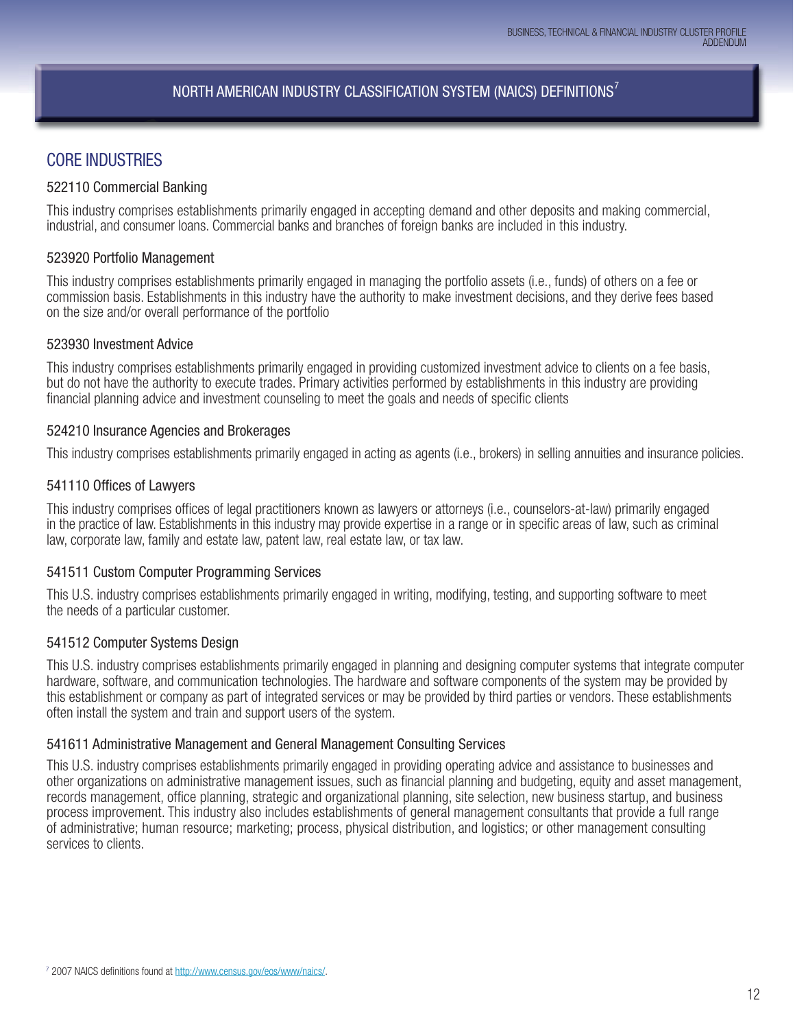### NORTH AMERICAN INDUSTRY CLASSIFICATION SYSTEM (NAICS) DEFINITIONS<sup>7</sup>

### CORE INDUSTRIES

#### 522110 Commercial Banking

This industry comprises establishments primarily engaged in accepting demand and other deposits and making commercial, industrial, and consumer loans. Commercial banks and branches of foreign banks are included in this industry.

#### 523920 Portfolio Management

This industry comprises establishments primarily engaged in managing the portfolio assets (i.e., funds) of others on a fee or commission basis. Establishments in this industry have the authority to make investment decisions, and they derive fees based on the size and/or overall performance of the portfolio

#### 523930 Investment Advice

This industry comprises establishments primarily engaged in providing customized investment advice to clients on a fee basis, but do not have the authority to execute trades. Primary activities performed by establishments in this industry are providing financial planning advice and investment counseling to meet the goals and needs of specific clients

#### 524210 Insurance Agencies and Brokerages

This industry comprises establishments primarily engaged in acting as agents (i.e., brokers) in selling annuities and insurance policies.

#### 541110 Offices of Lawyers

This industry comprises offices of legal practitioners known as lawyers or attorneys (i.e., counselors-at-law) primarily engaged in the practice of law. Establishments in this industry may provide expertise in a range or in specific areas of law, such as criminal law, corporate law, family and estate law, patent law, real estate law, or tax law.

#### 541511 Custom Computer Programming Services

This U.S. industry comprises establishments primarily engaged in writing, modifying, testing, and supporting software to meet the needs of a particular customer.

#### 541512 Computer Systems Design

This U.S. industry comprises establishments primarily engaged in planning and designing computer systems that integrate computer hardware, software, and communication technologies. The hardware and software components of the system may be provided by this establishment or company as part of integrated services or may be provided by third parties or vendors. These establishments often install the system and train and support users of the system.

#### 541611 Administrative Management and General Management Consulting Services

This U.S. industry comprises establishments primarily engaged in providing operating advice and assistance to businesses and other organizations on administrative management issues, such as financial planning and budgeting, equity and asset management, records management, office planning, strategic and organizational planning, site selection, new business startup, and business process improvement. This industry also includes establishments of general management consultants that provide a full range of administrative; human resource; marketing; process, physical distribution, and logistics; or other management consulting services to clients.